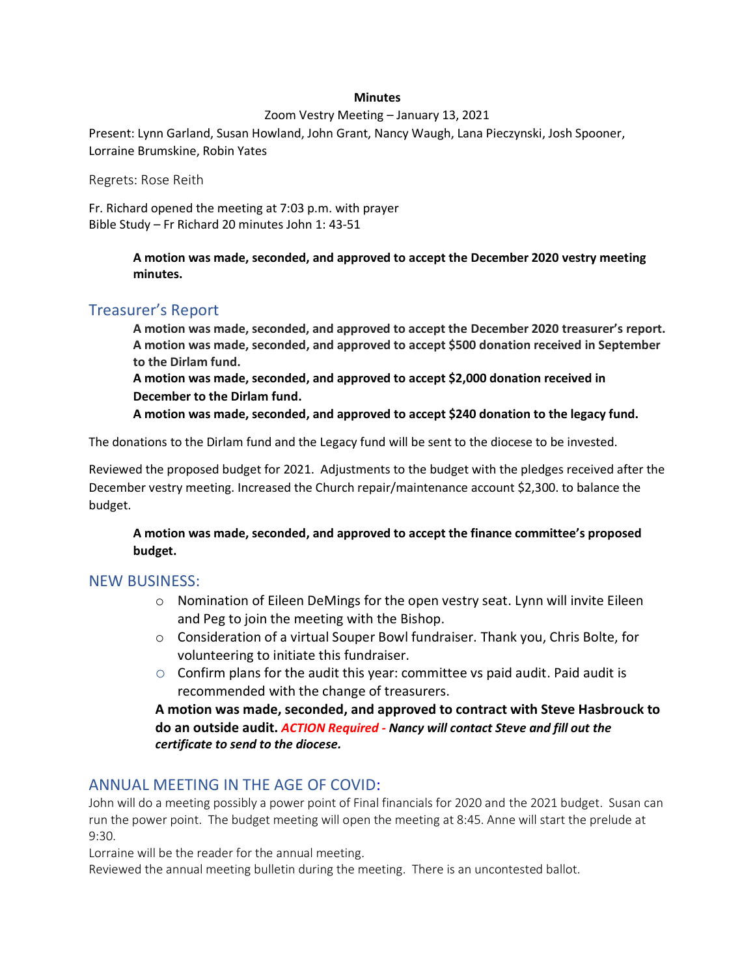### **Minutes**

#### Zoom Vestry Meeting – January 13, 2021

Present: Lynn Garland, Susan Howland, John Grant, Nancy Waugh, Lana Pieczynski, Josh Spooner, Lorraine Brumskine, Robin Yates

Regrets: Rose Reith

Fr. Richard opened the meeting at 7:03 p.m. with prayer Bible Study – Fr Richard 20 minutes John 1: 43-51

> **A motion was made, seconded, and approved to accept the December 2020 vestry meeting minutes.**

## Treasurer's Report

**A motion was made, seconded, and approved to accept the December 2020 treasurer's report. A motion was made, seconded, and approved to accept \$500 donation received in September to the Dirlam fund.**

**A motion was made, seconded, and approved to accept \$2,000 donation received in December to the Dirlam fund.**

**A motion was made, seconded, and approved to accept \$240 donation to the legacy fund.**

The donations to the Dirlam fund and the Legacy fund will be sent to the diocese to be invested.

Reviewed the proposed budget for 2021. Adjustments to the budget with the pledges received after the December vestry meeting. Increased the Church repair/maintenance account \$2,300. to balance the budget.

**A motion was made, seconded, and approved to accept the finance committee's proposed budget.**

## NEW BUSINESS:

- $\circ$  Nomination of Eileen DeMings for the open vestry seat. Lynn will invite Eileen and Peg to join the meeting with the Bishop.
- o Consideration of a virtual Souper Bowl fundraiser. Thank you, Chris Bolte, for volunteering to initiate this fundraiser.
- $\circ$  Confirm plans for the audit this year: committee vs paid audit. Paid audit is recommended with the change of treasurers.

**A motion was made, seconded, and approved to contract with Steve Hasbrouck to do an outside audit.** *ACTION Required - Nancy will contact Steve and fill out the certificate to send to the diocese.*

# ANNUAL MEETING IN THE AGE OF COVID:

John will do a meeting possibly a power point of Final financials for 2020 and the 2021 budget. Susan can run the power point. The budget meeting will open the meeting at 8:45. Anne will start the prelude at 9:30.

Lorraine will be the reader for the annual meeting.

Reviewed the annual meeting bulletin during the meeting. There is an uncontested ballot.